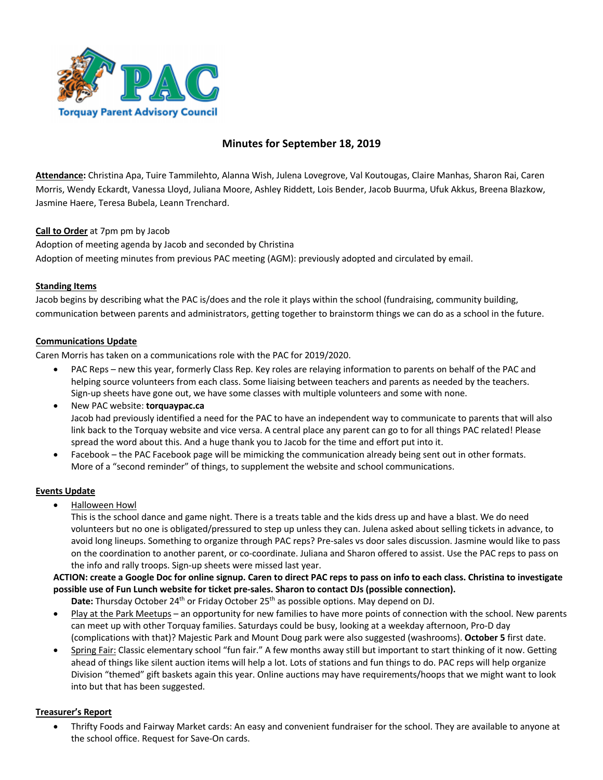

# **Minutes for September 18, 2019**

**Attendance:** Christina Apa, Tuire Tammilehto, Alanna Wish, Julena Lovegrove, Val Koutougas, Claire Manhas, Sharon Rai, Caren Morris, Wendy Eckardt, Vanessa Lloyd, Juliana Moore, Ashley Riddett, Lois Bender, Jacob Buurma, Ufuk Akkus, Breena Blazkow, Jasmine Haere, Teresa Bubela, Leann Trenchard.

**Call to Order** at 7pm pm by Jacob

Adoption of meeting agenda by Jacob and seconded by Christina Adoption of meeting minutes from previous PAC meeting (AGM): previously adopted and circulated by email.

# **Standing Items**

Jacob begins by describing what the PAC is/does and the role it plays within the school (fundraising, community building, communication between parents and administrators, getting together to brainstorm things we can do as a school in the future.

# **Communications Update**

Caren Morris has taken on a communications role with the PAC for 2019/2020.

- PAC Reps new this year, formerly Class Rep. Key roles are relaying information to parents on behalf of the PAC and helping source volunteers from each class. Some liaising between teachers and parents as needed by the teachers. Sign-up sheets have gone out, we have some classes with multiple volunteers and some with none.
- New PAC website: **torquaypac.ca** Jacob had previously identified a need for the PAC to have an independent way to communicate to parents that will also link back to the Torquay website and vice versa. A central place any parent can go to for all things PAC related! Please spread the word about this. And a huge thank you to Jacob for the time and effort put into it.
- Facebook the PAC Facebook page will be mimicking the communication already being sent out in other formats. More of a "second reminder" of things, to supplement the website and school communications.

# **Events Update**

• Halloween Howl

This is the school dance and game night. There is a treats table and the kids dress up and have a blast. We do need volunteers but no one is obligated/pressured to step up unless they can. Julena asked about selling tickets in advance, to avoid long lineups. Something to organize through PAC reps? Pre-sales vs door sales discussion. Jasmine would like to pass on the coordination to another parent, or co-coordinate. Juliana and Sharon offered to assist. Use the PAC reps to pass on the info and rally troops. Sign-up sheets were missed last year.

**ACTION: create a Google Doc for online signup. Caren to direct PAC reps to pass on info to each class. Christina to investigate possible use of Fun Lunch website for ticket pre-sales. Sharon to contact DJs (possible connection).**

Date: Thursday October 24<sup>th</sup> or Friday October 25<sup>th</sup> as possible options. May depend on DJ.

- Play at the Park Meetups an opportunity for new families to have more points of connection with the school. New parents can meet up with other Torquay families. Saturdays could be busy, looking at a weekday afternoon, Pro-D day (complications with that)? Majestic Park and Mount Doug park were also suggested (washrooms). **October 5** first date.
- Spring Fair: Classic elementary school "fun fair." A few months away still but important to start thinking of it now. Getting ahead of things like silent auction items will help a lot. Lots of stations and fun things to do. PAC reps will help organize Division "themed" gift baskets again this year. Online auctions may have requirements/hoops that we might want to look into but that has been suggested.

# **Treasurer's Report**

• Thrifty Foods and Fairway Market cards: An easy and convenient fundraiser for the school. They are available to anyone at the school office. Request for Save-On cards.